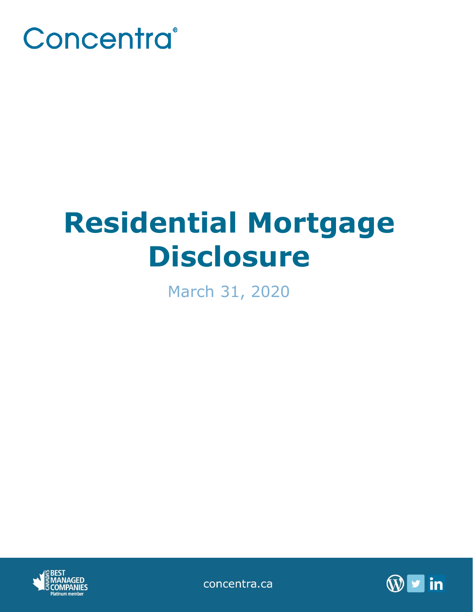

# **Residential Mortgage Disclosure**

March 31, 2020



concentra.ca

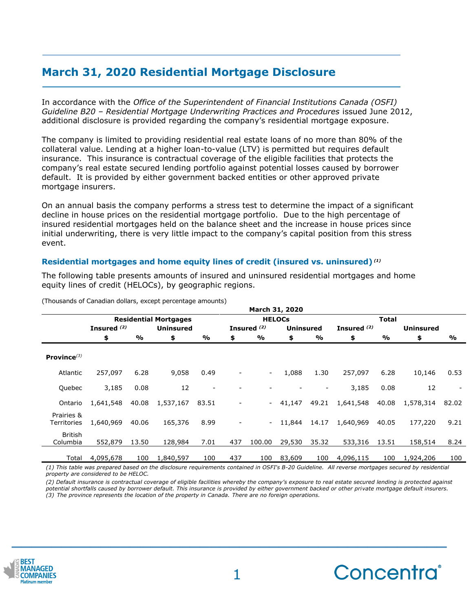## **March 31, 2020 Residential Mortgage Disclosure**

In accordance with the *Office of the Superintendent of Financial Institutions Canada (OSFI) Guideline B20 – Residential Mortgage Underwriting Practices and Procedures* issued June 2012, additional disclosure is provided regarding the company's residential mortgage exposure.

The company is limited to providing residential real estate loans of no more than 80% of the collateral value. Lending at a higher loan-to-value (LTV) is permitted but requires default insurance. This insurance is contractual coverage of the eligible facilities that protects the company's real estate secured lending portfolio against potential losses caused by borrower default. It is provided by either government backed entities or other approved private mortgage insurers.

On an annual basis the company performs a stress test to determine the impact of a significant decline in house prices on the residential mortgage portfolio. Due to the high percentage of insured residential mortgages held on the balance sheet and the increase in house prices since initial underwriting, there is very little impact to the company's capital position from this stress event.

### **Residential mortgages and home equity lines of credit (insured vs. uninsured)** *(1)*

The following table presents amounts of insured and uninsured residential mortgages and home equity lines of credit (HELOCs), by geographic regions.

|                            | March 31, 2020               |       |                  |       |                        |               |                  |               |               |                  |           |                          |
|----------------------------|------------------------------|-------|------------------|-------|------------------------|---------------|------------------|---------------|---------------|------------------|-----------|--------------------------|
|                            | <b>Residential Mortgages</b> |       |                  |       | <b>HELOCS</b>          |               |                  |               | Total         |                  |           |                          |
|                            | Insured <sup>(2)</sup>       |       | <b>Uninsured</b> |       | Insured <sup>(2)</sup> |               | <b>Uninsured</b> |               | Insured $(2)$ | <b>Uninsured</b> |           |                          |
|                            | \$                           | %     | \$               | %     | \$                     | $\frac{0}{0}$ | \$               | $\frac{1}{2}$ | \$            | %                | \$        | $\frac{9}{0}$            |
| Province $(3)$             |                              |       |                  |       |                        |               |                  |               |               |                  |           |                          |
| Atlantic                   | 257,097                      | 6.28  | 9,058            | 0.49  |                        | $\sim$        | 1.088            | 1.30          | 257,097       | 6.28             | 10,146    | 0.53                     |
| Quebec                     | 3,185                        | 0.08  | 12               |       |                        |               |                  |               | 3,185         | 0.08             | 12        | $\overline{\phantom{a}}$ |
| Ontario                    | 1,641,548                    | 40.08 | 1,537,167        | 83.51 |                        |               | 41,147           | 49.21         | 1,641,548     | 40.08            | 1,578,314 | 82.02                    |
| Prairies &<br>Territories  | 1,640,969                    | 40.06 | 165,376          | 8.99  |                        | $\sim$ $-$    | 11.844           | 14.17         | 1,640,969     | 40.05            | 177,220   | 9.21                     |
| <b>British</b><br>Columbia | 552,879                      | 13.50 | 128,984          | 7.01  | 437                    | 100.00        | 29,530           | 35.32         | 533,316       | 13.51            | 158,514   | 8.24                     |
| Total                      | 4,095,678                    | 100   | 1,840,597        | 100   | 437                    | 100           | 83,609           | 100           | 4,096,115     | 100              | 1,924,206 | 100                      |

(Thousands of Canadian dollars, except percentage amounts)

*(1) This table was prepared based on the disclosure requirements contained in OSFI's B-20 Guideline. All reverse mortgages secured by residential property are considered to be HELOC.*

*(2) Default insurance is contractual coverage of eligible facilities whereby the company's exposure to real estate secured lending is protected against potential shortfalls caused by borrower default. This insurance is provided by either government backed or other private mortgage default insurers. (3) The province represents the location of the property in Canada. There are no foreign operations.*



**\_\_\_\_\_\_\_\_\_\_\_\_\_\_\_\_\_\_\_\_\_\_\_\_\_\_\_\_\_\_\_\_\_\_\_\_\_\_\_\_\_\_\_\_**